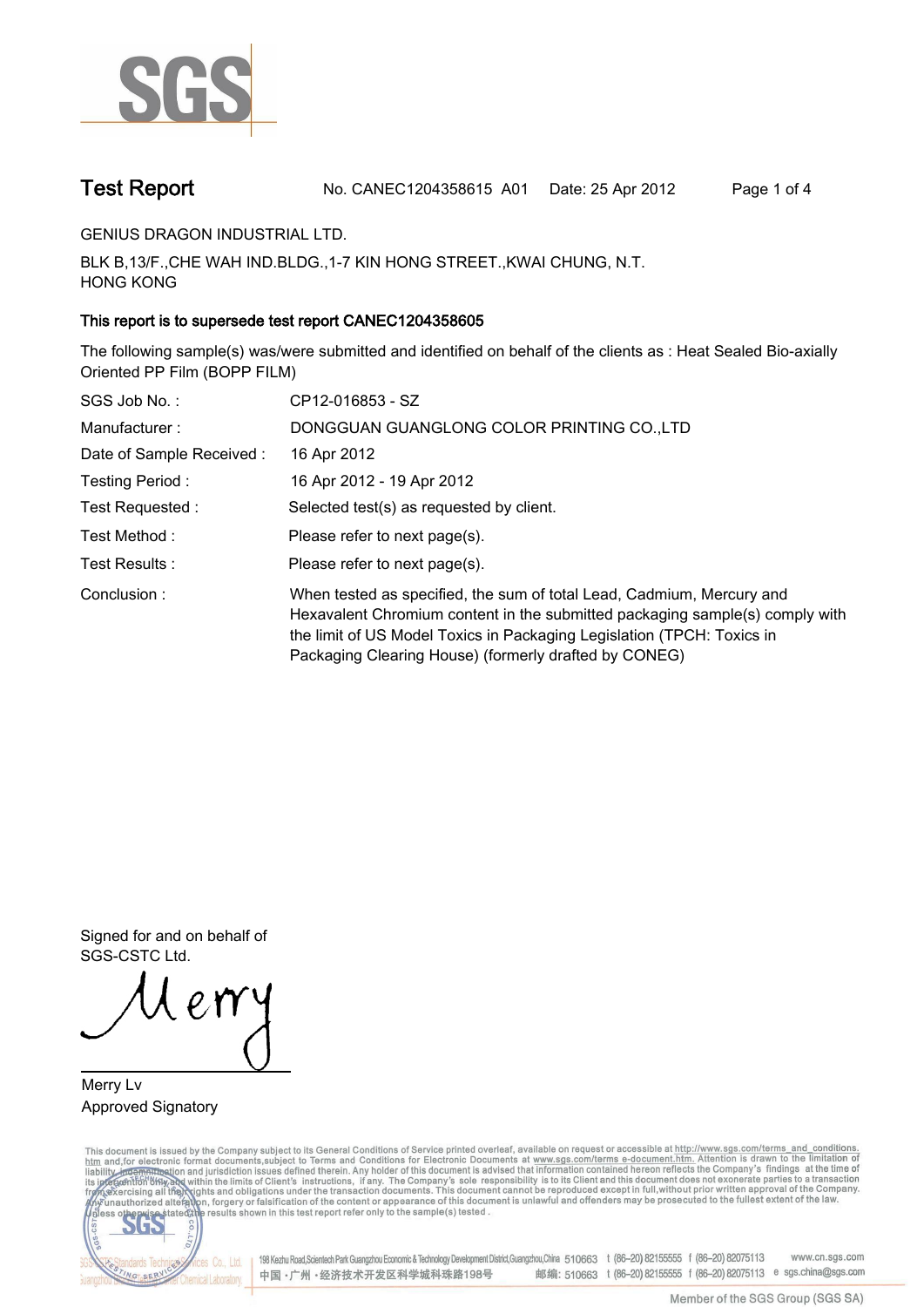

**Test Report. No. CANEC1204358615 A01 Date: 25 Apr 2012. Page 1 of 4.**

**GENIUS DRAGON INDUSTRIAL LTD..**

**BLK B,13/F.,CHE WAH IND.BLDG.,1-7 KIN HONG STREET.,KWAI CHUNG, N.T. HONG KONG.**

### **This report is to supersede test report CANEC1204358605.**

**The following sample(s) was/were submitted and identified on behalf of the clients as : Heat Sealed Bio-axially Oriented PP Film (BOPP FILM).**

| SGS Job No.:             | CP12-016853 - SZ                                                                                                                                                                                                                                                                         |
|--------------------------|------------------------------------------------------------------------------------------------------------------------------------------------------------------------------------------------------------------------------------------------------------------------------------------|
| Manufacturer:            | DONGGUAN GUANGLONG COLOR PRINTING CO., LTD                                                                                                                                                                                                                                               |
| Date of Sample Received: | 16 Apr 2012                                                                                                                                                                                                                                                                              |
| Testing Period :         | 16 Apr 2012 - 19 Apr 2012                                                                                                                                                                                                                                                                |
| Test Requested :         | Selected test(s) as requested by client.                                                                                                                                                                                                                                                 |
| Test Method :            | Please refer to next page(s).                                                                                                                                                                                                                                                            |
| Test Results:            | Please refer to next page(s).                                                                                                                                                                                                                                                            |
| Conclusion:              | When tested as specified, the sum of total Lead, Cadmium, Mercury and<br>Hexavalent Chromium content in the submitted packaging sample(s) comply with<br>the limit of US Model Toxics in Packaging Legislation (TPCH: Toxics in<br>Packaging Clearing House) (formerly drafted by CONEG) |

**Signed for and on behalf of SGS-CSTC Ltd..**

**Merry Lv. Approved Signatory.**

This document is issued by the Company subject to its General Conditions of Service printed overleaf, available on request or accessible at http://www.sgs.com/terms\_and\_conditions.<br>htm\_and,for electronic format documents,s



198 Kezhu Road, Scientech Park Guangzhou Economic & Technology Development District, Guangzhou, China 510663 t (86-20) 82155555 f (86-20) 82075113 www.cn.sgs.com 邮编: 510663 t (86-20) 82155555 f (86-20) 82075113 e sgs.china@sgs.com 中国·广州·经济技术开发区科学城科珠路198号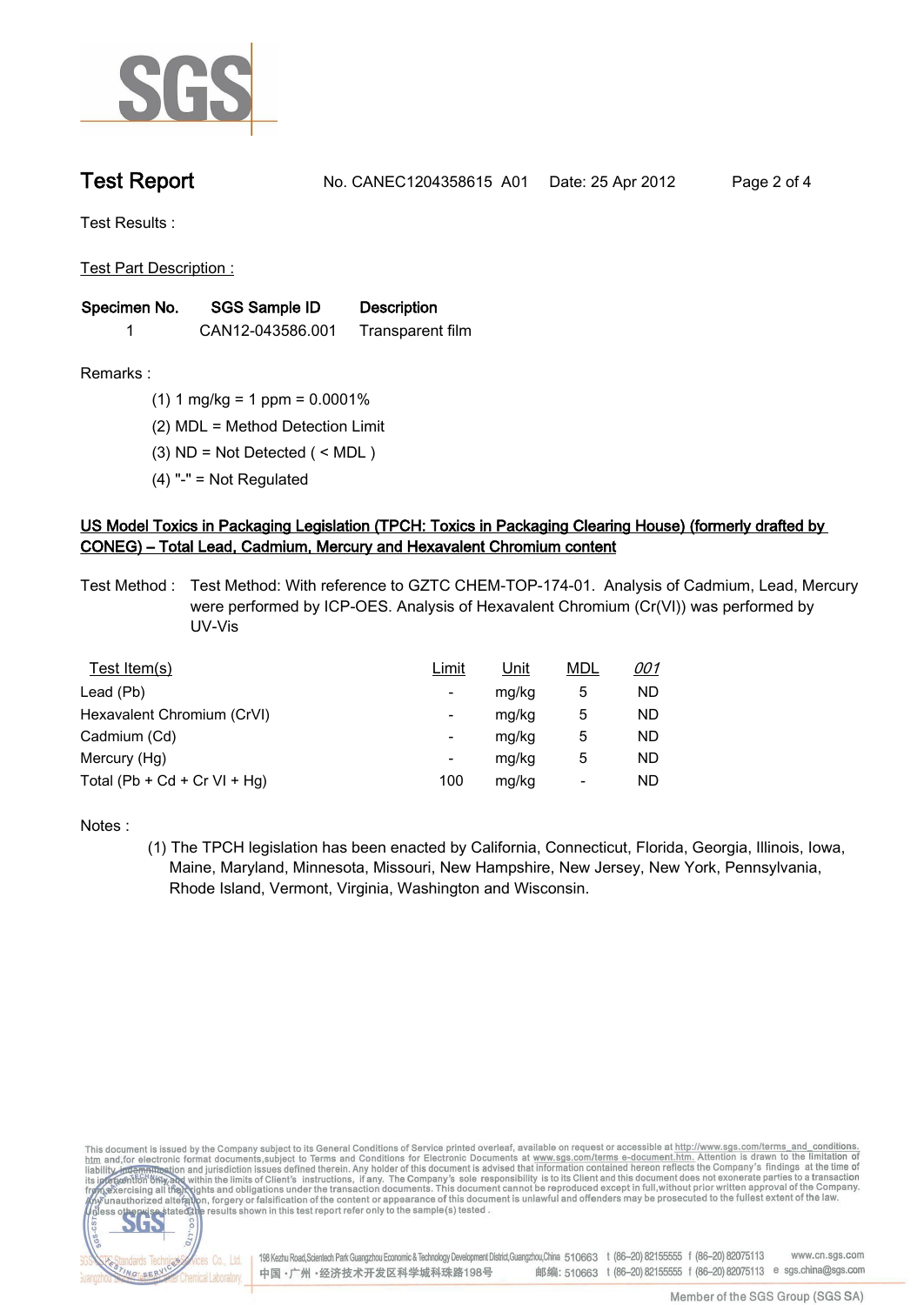

**Test Report. No. CANEC1204358615 A01 Date: 25 Apr 2012. Page 2 of 4.**

**Test Results :.**

**Test Part Description :.**

| Specimen No. | SGS Sample ID    | <b>Description</b> |  |
|--------------|------------------|--------------------|--|
|              | CAN12-043586.001 | Transparent film   |  |

**Remarks :.(1) 1 mg/kg = 1 ppm = 0.0001%.**

**(2) MDL = Method Detection Limit.**

**(3) ND = Not Detected ( < MDL ).**

**(4) "-" = Not Regulated.**

## **US Model Toxics in Packaging Legislation (TPCH: Toxics in Packaging Clearing House) (formerly drafted by CONEG) – Total Lead, Cadmium, Mercury and Hexavalent Chromium content.**

**Test Method :. Test Method: With reference to GZTC CHEM-TOP-174-01. Analysis of Cadmium, Lead, Mercury were performed by ICP-OES. Analysis of Hexavalent Chromium (Cr(VI)) was performed by UV-Vis.**

| Test Item(s)                 | <u>Limit</u> | <u>Unit</u> | <b>MDL</b> | <u>001</u> |
|------------------------------|--------------|-------------|------------|------------|
| Lead (Pb)                    |              | mg/kg       | 5          | ND         |
| Hexavalent Chromium (CrVI)   | -            | mg/kg       | 5          | ND         |
| Cadmium (Cd)                 | -            | mg/kg       | 5          | ND         |
| Mercury (Hg)                 | -            | mg/kg       | 5          | ND         |
| Total (Pb + Cd + Cr VI + Hg) | 100          | mg/kg       |            | ND         |

**Notes :.**

**(1) The TPCH legislation has been enacted by California, Connecticut, Florida, Georgia, Illinois, Iowa, Maine, Maryland, Minnesota, Missouri, New Hampshire, New Jersey, New York, Pennsylvania, Rhode Island, Vermont, Virginia, Washington and Wisconsin..**

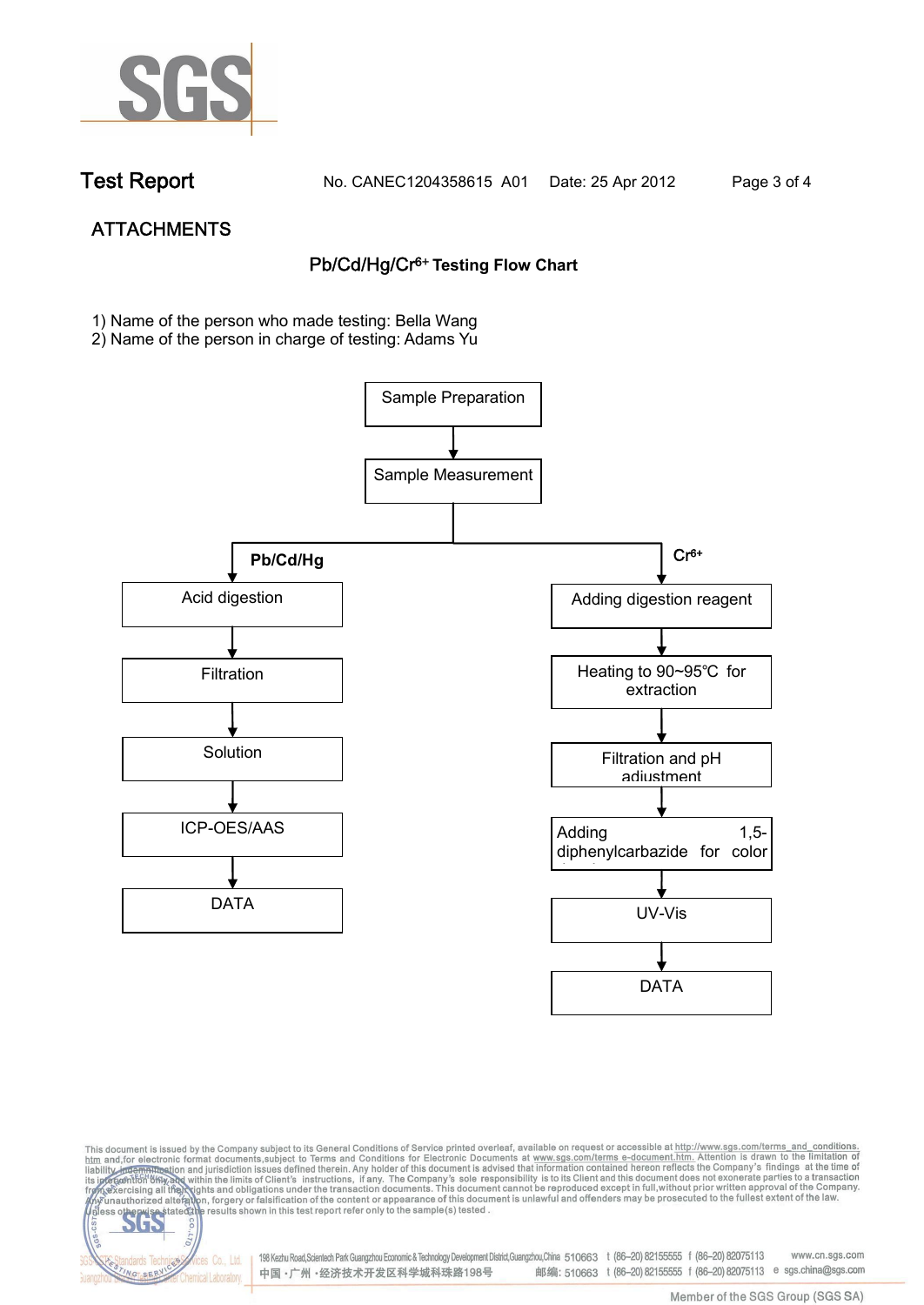

NG SER

**Chemical Laboratory** 

**Test Report. No. CANEC1204358615 A01 Date: 25 Apr 2012. Page 3 of 4.**

# **ATTACHMENTS Pb/Cd/Hg/Cr6+ Testing Flow Chart**

**1)** Name of the person who made testing: Bella Wang

2) Name of the person in charge of testing: Adams Yu